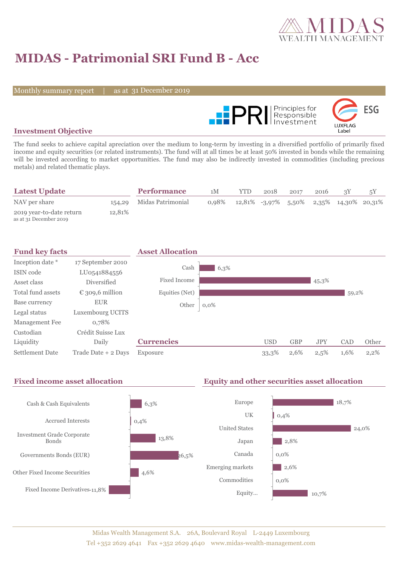

# **MIDAS - Patrimonial SRI Fund B - Acc**

Monthly summary report

31 December 2019



#### **Investment Objective**

The fund seeks to achieve capital apreciation over the medium to long-term by investing in a diversified portfolio of primarily fixed income and equity securities (or related instruments). The fund will at all times be at least 50% invested in bonds while the remaining will be invested according to market opportunities. The fund may also be indirectly invested in commodities (including precious metals) and related thematic plays.

| <b>Latest Update</b>                               |        | <b>Performance</b>       | 1M    | YTD                                        | 2018 | 2017 | 2016 |  |
|----------------------------------------------------|--------|--------------------------|-------|--------------------------------------------|------|------|------|--|
| NAV per share                                      |        | 154,29 Midas Patrimonial | 0.98% | $12,81\%$ -3,97% 5,50% 2,35% 14,30% 20,31% |      |      |      |  |
| 2019 year-to-date return<br>as at 31 December 2019 | 12.81% |                          |       |                                            |      |      |      |  |

| <b>Fund key facts</b>  |                     | <b>Asset Allocation</b> |         |            |            |            |       |         |
|------------------------|---------------------|-------------------------|---------|------------|------------|------------|-------|---------|
| Inception date *       | 17 September 2010   |                         |         |            |            |            |       |         |
| ISIN code              | LU0541884556        | Cash                    | 6,3%    |            |            |            |       |         |
| Asset class            | Diversified         | <b>Fixed Income</b>     |         |            |            | 45,3%      |       |         |
| Total fund assets      | € 309,6 million     | Equities (Net)          |         |            |            |            | 59,2% |         |
| Base currency          | <b>EUR</b>          | Other                   | $0,0\%$ |            |            |            |       |         |
| Legal status           | Luxembourg UCITS    |                         |         |            |            |            |       |         |
| Management Fee         | 0,78%               |                         |         |            |            |            |       |         |
| Custodian              | Crédit Suisse Lux   |                         |         |            |            |            |       |         |
| Liquidity              | Daily               | <b>Currencies</b>       |         | <b>USD</b> | <b>GBP</b> | <b>JPY</b> | CAD   | Other   |
| <b>Settlement Date</b> | Trade Date + 2 Days | Exposure                |         | 33,3%      | 2,6%       | 2,5%       | 1,6%  | $2,2\%$ |

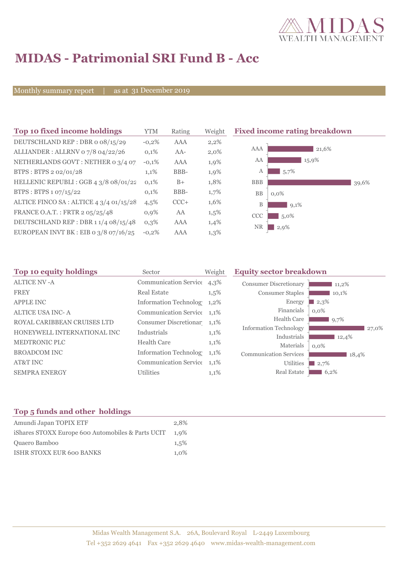

# **MIDAS - Patrimonial SRI Fund B - Acc**

Monthly summary report

as at 31 December 2019

| Top 10 fixed income holdings            | YTM     | Rating | Weigh   |
|-----------------------------------------|---------|--------|---------|
| DEUTSCHLAND REP: DBR o 08/15/29         | $-0.2%$ | AAA    | 2,2%    |
| ALLIANDER: ALLRNV 07/8 04/22/26         | 0.1%    | $AA-$  | $2,0\%$ |
| NETHERLANDS GOVT: NETHER 0 3/4 07       | $-0.1%$ | AAA    | 1,9%    |
| BTPS: BTPS 2 02/01/28                   | 1,1%    | BBB-   | 1,9%    |
| HELLENIC REPUBLI : GGB 4 3/8 08/01/22   | 0,1%    | $B+$   | 1,8%    |
| BTPS: BTPS 1 07/15/22                   | 0,1%    | BBB-   | 1,7%    |
| ALTICE FINCO SA : ALTICE 4 3/4 01/15/28 | 4,5%    | $CCC+$ | 1,6%    |
| FRANCE O.A.T.: FRTR 2 05/25/48          | 0.9%    | AA     | 1,5%    |
| DEUTSCHLAND REP : DBR 1 1/4 08/15/48    | $0.3\%$ | AAA    | 1,4%    |
| EUROPEAN INVT BK : EIB o 3/8 07/16/25   | $-0.2%$ | AAA    | 1,3%    |

**The 20 fixed income rating breakdown** 



| Top 10 equity holdings      | Sector                       | <b>Equity sector breakdown</b><br>Weight |                               |         |
|-----------------------------|------------------------------|------------------------------------------|-------------------------------|---------|
| <b>ALTICE NV-A</b>          | <b>Communication Service</b> | $4,3\%$                                  | <b>Consumer Discretionary</b> | 11,2%   |
| <b>FREY</b>                 | <b>Real Estate</b>           | $1,5\%$                                  | <b>Consumer Staples</b>       | 10,1%   |
| <b>APPLE INC</b>            | <b>Information Technolog</b> | 1,2%                                     | Energy                        | 2,3%    |
| <b>ALTICE USA INC-A</b>     | Communication Service 1,1%   |                                          | Financials                    | $0.0\%$ |
| ROYAL CARIBBEAN CRUISES LTD | Consumer Discretionar 1,1%   |                                          | <b>Health Care</b>            | 9,7%    |
| HONEYWELL INTERNATIONAL INC | Industrials                  | 1,1%                                     | <b>Information Technology</b> | 27,0%   |
| MEDTRONIC PLC               | <b>Health Care</b>           | 1,1%                                     | Industrials                   | 12,4%   |
|                             |                              |                                          | Materials                     | $0.0\%$ |
| <b>BROADCOM INC</b>         | Information Technolog        | $1,1\%$                                  | <b>Communication Services</b> | 18,4%   |
| AT&T INC                    | <b>Communication Service</b> | 1,1%                                     | <b>Utilities</b>              | 12,7%   |
| <b>SEMPRA ENERGY</b>        | <b>Utilities</b>             | 1,1%                                     | Real Estate                   | 6,2%    |
|                             |                              |                                          |                               |         |

### **Top 5 funds and other holdings**

| Amundi Japan TOPIX ETF                            | 2.8%    |
|---------------------------------------------------|---------|
| iShares STOXX Europe 600 Automobiles & Parts UCIT | 1.9%    |
| Quaero Bamboo                                     | 1.5%    |
| ISHR STOXX EUR 600 BANKS                          | $1.0\%$ |